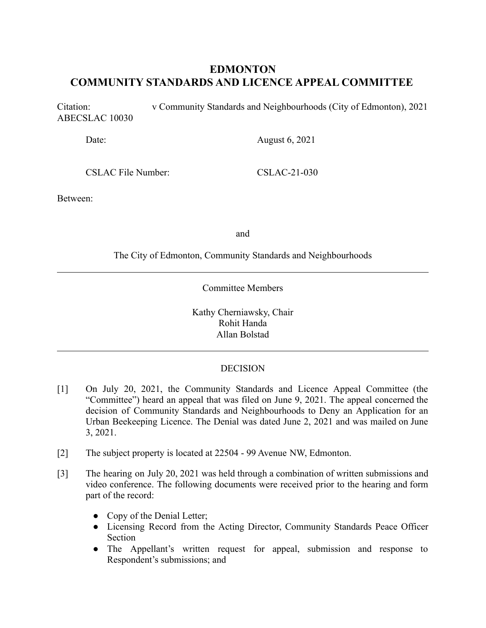# **EDMONTON COMMUNITY STANDARDS AND LICENCE APPEAL COMMITTEE**

Citation: v Community Standards and Neighbourhoods (City of Edmonton), 2021 ABECSLAC 10030

Date: August 6, 2021

CSLAC File Number: CSLAC-21-030

Between:

and

The City of Edmonton, Community Standards and Neighbourhoods

Committee Members

Kathy Cherniawsky, Chair Rohit Handa Allan Bolstad

# **DECISION**

- [1] On July 20, 2021, the Community Standards and Licence Appeal Committee (the "Committee") heard an appeal that was filed on June 9, 2021. The appeal concerned the decision of Community Standards and Neighbourhoods to Deny an Application for an Urban Beekeeping Licence. The Denial was dated June 2, 2021 and was mailed on June 3, 2021.
- [2] The subject property is located at 22504 99 Avenue NW, Edmonton.
- [3] The hearing on July 20, 2021 was held through a combination of written submissions and video conference. The following documents were received prior to the hearing and form part of the record:
	- Copy of the Denial Letter;
	- Licensing Record from the Acting Director, Community Standards Peace Officer Section
	- The Appellant's written request for appeal, submission and response to Respondent's submissions; and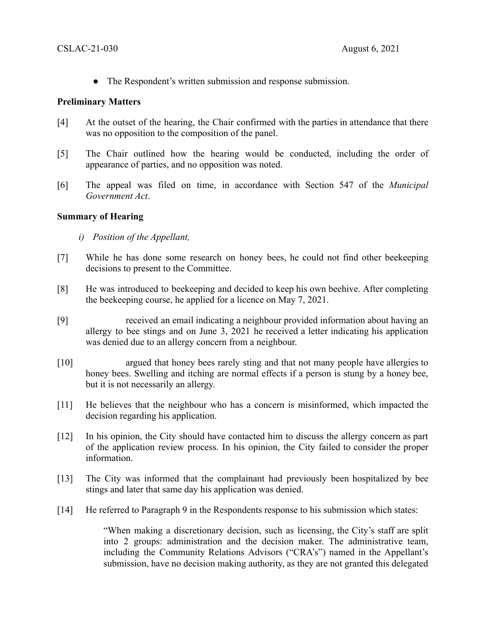● The Respondent's written submission and response submission.

## **Preliminary Matters**

- [4] At the outset of the hearing, the Chair confirmed with the parties in attendance that there was no opposition to the composition of the panel.
- [5] The Chair outlined how the hearing would be conducted, including the order of appearance of parties, and no opposition was noted.
- [6] The appeal was filed on time, in accordance with Section 547 of the *Municipal Government Act*.

## **Summary of Hearing**

- *i) Position of the Appellant,*
- [7] While he has done some research on honey bees, he could not find other beekeeping decisions to present to the Committee.
- [8] He was introduced to beekeeping and decided to keep his own beehive. After completing the beekeeping course, he applied for a licence on May 7, 2021.
- [9] received an email indicating a neighbour provided information about having an allergy to bee stings and on June 3, 2021 he received a letter indicating his application was denied due to an allergy concern from a neighbour.
- [10] argued that honey bees rarely sting and that not many people have allergies to honey bees. Swelling and itching are normal effects if a person is stung by a honey bee, but it is not necessarily an allergy.
- [11] He believes that the neighbour who has a concern is misinformed, which impacted the decision regarding his application.
- [12] In his opinion, the City should have contacted him to discuss the allergy concern as part of the application review process. In his opinion, the City failed to consider the proper information.
- [13] The City was informed that the complainant had previously been hospitalized by bee stings and later that same day his application was denied.
- [14] He referred to Paragraph 9 in the Respondents response to his submission which states:

"When making a discretionary decision, such as licensing, the City's staff are split into 2 groups: administration and the decision maker. The administrative team, including the Community Relations Advisors ("CRA's") named in the Appellant's submission, have no decision making authority, as they are not granted this delegated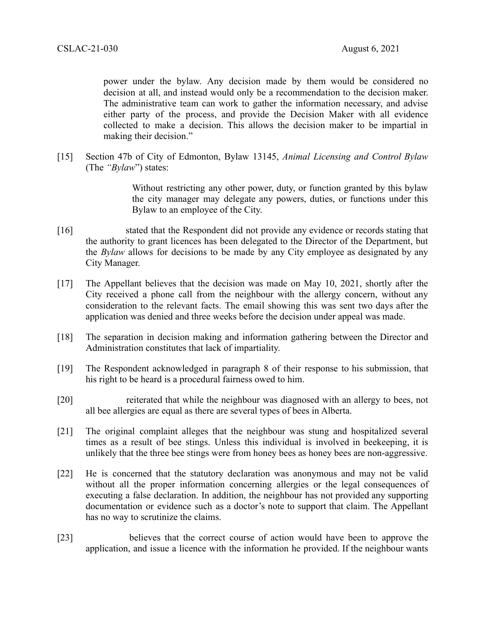power under the bylaw. Any decision made by them would be considered no decision at all, and instead would only be a recommendation to the decision maker. The administrative team can work to gather the information necessary, and advise either party of the process, and provide the Decision Maker with all evidence collected to make a decision. This allows the decision maker to be impartial in making their decision."

[15] Section 47b of City of Edmonton, Bylaw 13145, *Animal Licensing and Control Bylaw* (The *"Bylaw*") states:

> Without restricting any other power, duty, or function granted by this bylaw the city manager may delegate any powers, duties, or functions under this Bylaw to an employee of the City.

- [16] stated that the Respondent did not provide any evidence or records stating that the authority to grant licences has been delegated to the Director of the Department, but the *Bylaw* allows for decisions to be made by any City employee as designated by any City Manager.
- [17] The Appellant believes that the decision was made on May 10, 2021, shortly after the City received a phone call from the neighbour with the allergy concern, without any consideration to the relevant facts. The email showing this was sent two days after the application was denied and three weeks before the decision under appeal was made.
- [18] The separation in decision making and information gathering between the Director and Administration constitutes that lack of impartiality.
- [19] The Respondent acknowledged in paragraph 8 of their response to his submission, that his right to be heard is a procedural fairness owed to him.
- [20] reiterated that while the neighbour was diagnosed with an allergy to bees, not all bee allergies are equal as there are several types of bees in Alberta.
- [21] The original complaint alleges that the neighbour was stung and hospitalized several times as a result of bee stings. Unless this individual is involved in beekeeping, it is unlikely that the three bee stings were from honey bees as honey bees are non-aggressive.
- [22] He is concerned that the statutory declaration was anonymous and may not be valid without all the proper information concerning allergies or the legal consequences of executing a false declaration. In addition, the neighbour has not provided any supporting documentation or evidence such as a doctor's note to support that claim. The Appellant has no way to scrutinize the claims.
- [23] believes that the correct course of action would have been to approve the application, and issue a licence with the information he provided. If the neighbour wants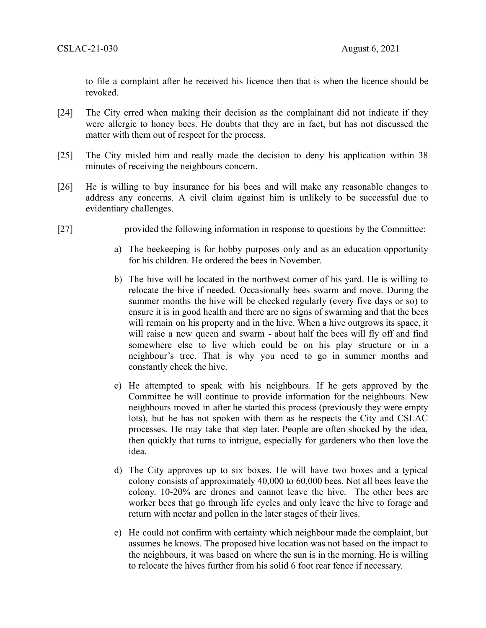to file a complaint after he received his licence then that is when the licence should be revoked.

- [24] The City erred when making their decision as the complainant did not indicate if they were allergic to honey bees. He doubts that they are in fact, but has not discussed the matter with them out of respect for the process.
- [25] The City misled him and really made the decision to deny his application within 38 minutes of receiving the neighbours concern.
- [26] He is willing to buy insurance for his bees and will make any reasonable changes to address any concerns. A civil claim against him is unlikely to be successful due to evidentiary challenges.
- [27] provided the following information in response to questions by the Committee:
	- a) The beekeeping is for hobby purposes only and as an education opportunity for his children. He ordered the bees in November.
	- b) The hive will be located in the northwest corner of his yard. He is willing to relocate the hive if needed. Occasionally bees swarm and move. During the summer months the hive will be checked regularly (every five days or so) to ensure it is in good health and there are no signs of swarming and that the bees will remain on his property and in the hive. When a hive outgrows its space, it will raise a new queen and swarm - about half the bees will fly off and find somewhere else to live which could be on his play structure or in a neighbour's tree. That is why you need to go in summer months and constantly check the hive.
	- c) He attempted to speak with his neighbours. If he gets approved by the Committee he will continue to provide information for the neighbours. New neighbours moved in after he started this process (previously they were empty lots), but he has not spoken with them as he respects the City and CSLAC processes. He may take that step later. People are often shocked by the idea, then quickly that turns to intrigue, especially for gardeners who then love the idea.
	- d) The City approves up to six boxes. He will have two boxes and a typical colony consists of approximately 40,000 to 60,000 bees. Not all bees leave the colony. 10-20% are drones and cannot leave the hive. The other bees are worker bees that go through life cycles and only leave the hive to forage and return with nectar and pollen in the later stages of their lives.
	- e) He could not confirm with certainty which neighbour made the complaint, but assumes he knows. The proposed hive location was not based on the impact to the neighbours, it was based on where the sun is in the morning. He is willing to relocate the hives further from his solid 6 foot rear fence if necessary.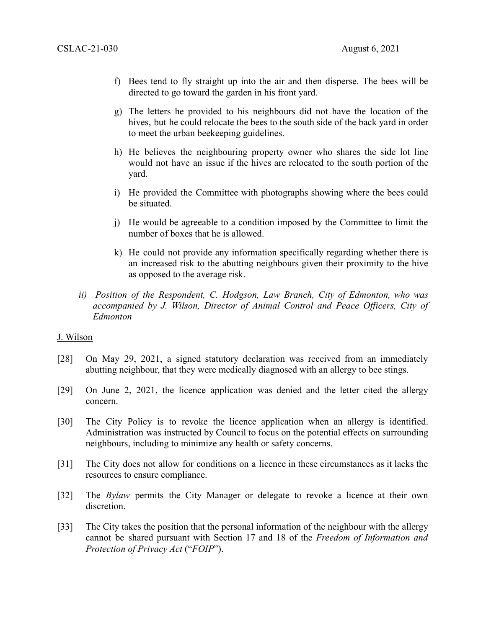- f) Bees tend to fly straight up into the air and then disperse. The bees will be directed to go toward the garden in his front yard.
- g) The letters he provided to his neighbours did not have the location of the hives, but he could relocate the bees to the south side of the back yard in order to meet the urban beekeeping guidelines.
- h) He believes the neighbouring property owner who shares the side lot line would not have an issue if the hives are relocated to the south portion of the yard.
- i) He provided the Committee with photographs showing where the bees could be situated.
- j) He would be agreeable to a condition imposed by the Committee to limit the number of boxes that he is allowed.
- k) He could not provide any information specifically regarding whether there is an increased risk to the abutting neighbours given their proximity to the hive as opposed to the average risk.
- *ii) Position of the Respondent, C. Hodgson, Law Branch, City of Edmonton, who was accompanied by J. Wilson, Director of Animal Control and Peace Officers, City of Edmonton*

## J. Wilson

- [28] On May 29, 2021, a signed statutory declaration was received from an immediately abutting neighbour, that they were medically diagnosed with an allergy to bee stings.
- [29] On June 2, 2021, the licence application was denied and the letter cited the allergy concern.
- [30] The City Policy is to revoke the licence application when an allergy is identified. Administration was instructed by Council to focus on the potential effects on surrounding neighbours, including to minimize any health or safety concerns.
- [31] The City does not allow for conditions on a licence in these circumstances as it lacks the resources to ensure compliance.
- [32] The *Bylaw* permits the City Manager or delegate to revoke a licence at their own discretion.
- [33] The City takes the position that the personal information of the neighbour with the allergy cannot be shared pursuant with Section 17 and 18 of the *Freedom of Information and Protection of Privacy Act* ("*FOIP*").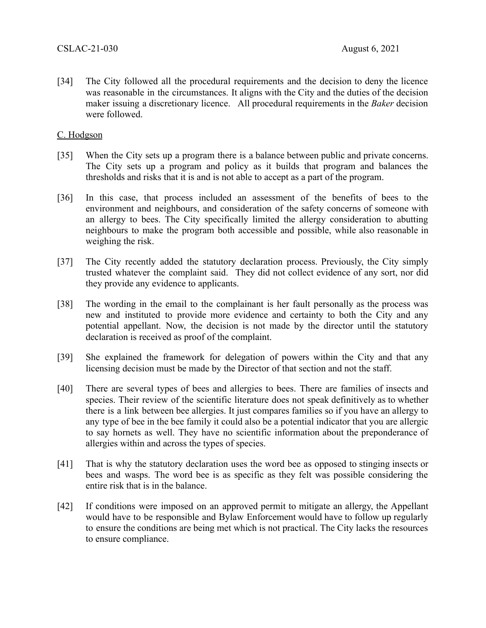[34] The City followed all the procedural requirements and the decision to deny the licence was reasonable in the circumstances. It aligns with the City and the duties of the decision maker issuing a discretionary licence. All procedural requirements in the *Baker* decision were followed.

# C. Hodgson

- [35] When the City sets up a program there is a balance between public and private concerns. The City sets up a program and policy as it builds that program and balances the thresholds and risks that it is and is not able to accept as a part of the program.
- [36] In this case, that process included an assessment of the benefits of bees to the environment and neighbours, and consideration of the safety concerns of someone with an allergy to bees. The City specifically limited the allergy consideration to abutting neighbours to make the program both accessible and possible, while also reasonable in weighing the risk.
- [37] The City recently added the statutory declaration process. Previously, the City simply trusted whatever the complaint said. They did not collect evidence of any sort, nor did they provide any evidence to applicants.
- [38] The wording in the email to the complainant is her fault personally as the process was new and instituted to provide more evidence and certainty to both the City and any potential appellant. Now, the decision is not made by the director until the statutory declaration is received as proof of the complaint.
- [39] She explained the framework for delegation of powers within the City and that any licensing decision must be made by the Director of that section and not the staff.
- [40] There are several types of bees and allergies to bees. There are families of insects and species. Their review of the scientific literature does not speak definitively as to whether there is a link between bee allergies. It just compares families so if you have an allergy to any type of bee in the bee family it could also be a potential indicator that you are allergic to say hornets as well. They have no scientific information about the preponderance of allergies within and across the types of species.
- [41] That is why the statutory declaration uses the word bee as opposed to stinging insects or bees and wasps. The word bee is as specific as they felt was possible considering the entire risk that is in the balance.
- [42] If conditions were imposed on an approved permit to mitigate an allergy, the Appellant would have to be responsible and Bylaw Enforcement would have to follow up regularly to ensure the conditions are being met which is not practical. The City lacks the resources to ensure compliance.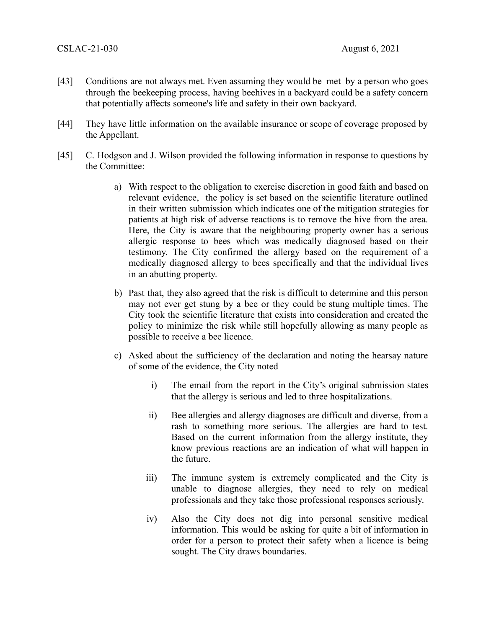- [43] Conditions are not always met. Even assuming they would be met by a person who goes through the beekeeping process, having beehives in a backyard could be a safety concern that potentially affects someone's life and safety in their own backyard.
- [44] They have little information on the available insurance or scope of coverage proposed by the Appellant.
- [45] C. Hodgson and J. Wilson provided the following information in response to questions by the Committee:
	- a) With respect to the obligation to exercise discretion in good faith and based on relevant evidence, the policy is set based on the scientific literature outlined in their written submission which indicates one of the mitigation strategies for patients at high risk of adverse reactions is to remove the hive from the area. Here, the City is aware that the neighbouring property owner has a serious allergic response to bees which was medically diagnosed based on their testimony. The City confirmed the allergy based on the requirement of a medically diagnosed allergy to bees specifically and that the individual lives in an abutting property.
	- b) Past that, they also agreed that the risk is difficult to determine and this person may not ever get stung by a bee or they could be stung multiple times. The City took the scientific literature that exists into consideration and created the policy to minimize the risk while still hopefully allowing as many people as possible to receive a bee licence.
	- c) Asked about the sufficiency of the declaration and noting the hearsay nature of some of the evidence, the City noted
		- i) The email from the report in the City's original submission states that the allergy is serious and led to three hospitalizations.
		- ii) Bee allergies and allergy diagnoses are difficult and diverse, from a rash to something more serious. The allergies are hard to test. Based on the current information from the allergy institute, they know previous reactions are an indication of what will happen in the future.
		- iii) The immune system is extremely complicated and the City is unable to diagnose allergies, they need to rely on medical professionals and they take those professional responses seriously.
		- iv) Also the City does not dig into personal sensitive medical information. This would be asking for quite a bit of information in order for a person to protect their safety when a licence is being sought. The City draws boundaries.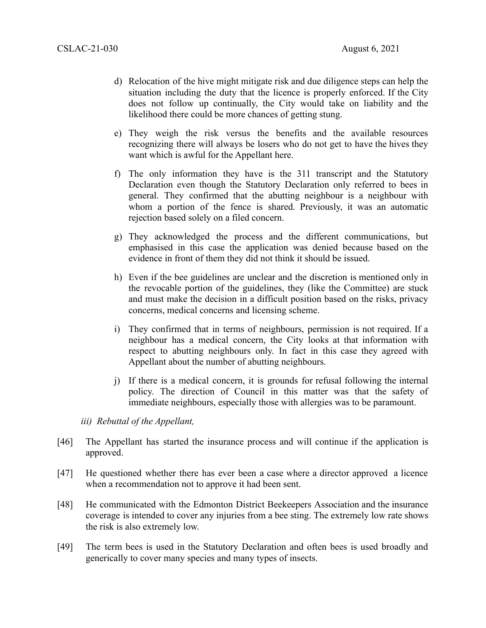- d) Relocation of the hive might mitigate risk and due diligence steps can help the situation including the duty that the licence is properly enforced. If the City does not follow up continually, the City would take on liability and the likelihood there could be more chances of getting stung.
- e) They weigh the risk versus the benefits and the available resources recognizing there will always be losers who do not get to have the hives they want which is awful for the Appellant here.
- f) The only information they have is the 311 transcript and the Statutory Declaration even though the Statutory Declaration only referred to bees in general. They confirmed that the abutting neighbour is a neighbour with whom a portion of the fence is shared. Previously, it was an automatic rejection based solely on a filed concern.
- g) They acknowledged the process and the different communications, but emphasised in this case the application was denied because based on the evidence in front of them they did not think it should be issued.
- h) Even if the bee guidelines are unclear and the discretion is mentioned only in the revocable portion of the guidelines, they (like the Committee) are stuck and must make the decision in a difficult position based on the risks, privacy concerns, medical concerns and licensing scheme.
- i) They confirmed that in terms of neighbours, permission is not required. If a neighbour has a medical concern, the City looks at that information with respect to abutting neighbours only. In fact in this case they agreed with Appellant about the number of abutting neighbours.
- j) If there is a medical concern, it is grounds for refusal following the internal policy. The direction of Council in this matter was that the safety of immediate neighbours, especially those with allergies was to be paramount.

*iii) Rebuttal of the Appellant,* 

- [46] The Appellant has started the insurance process and will continue if the application is approved.
- [47] He questioned whether there has ever been a case where a director approved a licence when a recommendation not to approve it had been sent.
- [48] He communicated with the Edmonton District Beekeepers Association and the insurance coverage is intended to cover any injuries from a bee sting. The extremely low rate shows the risk is also extremely low.
- [49] The term bees is used in the Statutory Declaration and often bees is used broadly and generically to cover many species and many types of insects.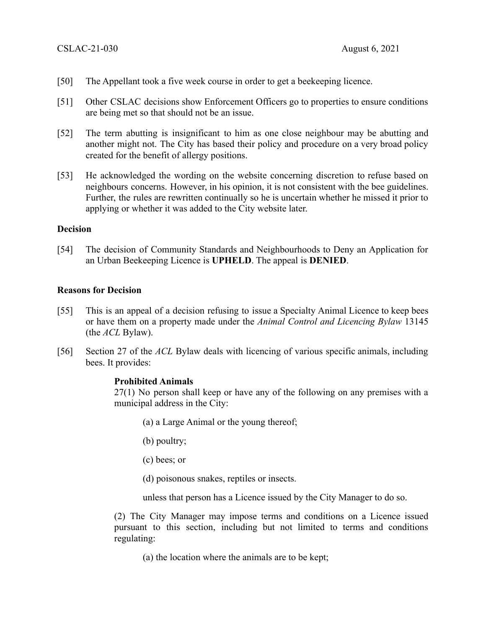- [50] The Appellant took a five week course in order to get a beekeeping licence.
- [51] Other CSLAC decisions show Enforcement Officers go to properties to ensure conditions are being met so that should not be an issue.
- [52] The term abutting is insignificant to him as one close neighbour may be abutting and another might not. The City has based their policy and procedure on a very broad policy created for the benefit of allergy positions.
- [53] He acknowledged the wording on the website concerning discretion to refuse based on neighbours concerns. However, in his opinion, it is not consistent with the bee guidelines. Further, the rules are rewritten continually so he is uncertain whether he missed it prior to applying or whether it was added to the City website later.

## **Decision**

[54] The decision of Community Standards and Neighbourhoods to Deny an Application for an Urban Beekeeping Licence is **UPHELD**. The appeal is **DENIED**.

## **Reasons for Decision**

- [55] This is an appeal of a decision refusing to issue a Specialty Animal Licence to keep bees or have them on a property made under the *Animal Control and Licencing Bylaw* 13145 (the *ACL* Bylaw).
- [56] Section 27 of the *ACL* Bylaw deals with licencing of various specific animals, including bees. It provides:

## **Prohibited Animals**

27(1) No person shall keep or have any of the following on any premises with a municipal address in the City:

- (a) a Large Animal or the young thereof;
- (b) poultry;
- (c) bees; or
- (d) poisonous snakes, reptiles or insects.
- unless that person has a Licence issued by the City Manager to do so.

(2) The City Manager may impose terms and conditions on a Licence issued pursuant to this section, including but not limited to terms and conditions regulating:

(a) the location where the animals are to be kept;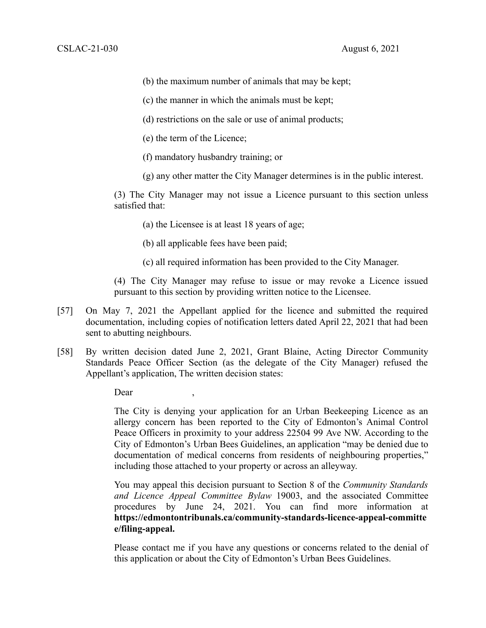- (b) the maximum number of animals that may be kept;
- (c) the manner in which the animals must be kept;
- (d) restrictions on the sale or use of animal products;
- (e) the term of the Licence;
- (f) mandatory husbandry training; or
- (g) any other matter the City Manager determines is in the public interest.

(3) The City Manager may not issue a Licence pursuant to this section unless satisfied that:

(a) the Licensee is at least 18 years of age;

- (b) all applicable fees have been paid;
- (c) all required information has been provided to the City Manager.

(4) The City Manager may refuse to issue or may revoke a Licence issued pursuant to this section by providing written notice to the Licensee.

- [57] On May 7, 2021 the Appellant applied for the licence and submitted the required documentation, including copies of notification letters dated April 22, 2021 that had been sent to abutting neighbours.
- [58] By written decision dated June 2, 2021, Grant Blaine, Acting Director Community Standards Peace Officer Section (as the delegate of the City Manager) refused the Appellant's application, The written decision states:

Dear

The City is denying your application for an Urban Beekeeping Licence as an allergy concern has been reported to the City of Edmonton's Animal Control Peace Officers in proximity to your address 22504 99 Ave NW. According to the City of Edmonton's Urban Bees Guidelines, an application "may be denied due to documentation of medical concerns from residents of neighbouring properties," including those attached to your property or across an alleyway.

You may appeal this decision pursuant to Section 8 of the *Community Standards and Licence Appeal Committee Bylaw* 19003, and the associated Committee procedures by June 24, 2021. You can find more information at **https://edmontontribunals.ca/community-standards-licence-appeal-committe e/filing-appeal.**

Please contact me if you have any questions or concerns related to the denial of this application or about the City of Edmonton's Urban Bees Guidelines.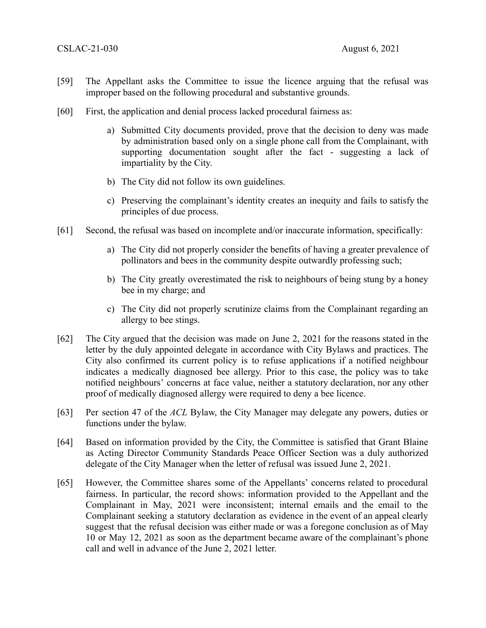- [59] The Appellant asks the Committee to issue the licence arguing that the refusal was improper based on the following procedural and substantive grounds.
- [60] First, the application and denial process lacked procedural fairness as:
	- a) Submitted City documents provided, prove that the decision to deny was made by administration based only on a single phone call from the Complainant, with supporting documentation sought after the fact - suggesting a lack of impartiality by the City.
	- b) The City did not follow its own guidelines.
	- c) Preserving the complainant's identity creates an inequity and fails to satisfy the principles of due process.
- [61] Second, the refusal was based on incomplete and/or inaccurate information, specifically:
	- a) The City did not properly consider the benefits of having a greater prevalence of pollinators and bees in the community despite outwardly professing such;
	- b) The City greatly overestimated the risk to neighbours of being stung by a honey bee in my charge; and
	- c) The City did not properly scrutinize claims from the Complainant regarding an allergy to bee stings.
- [62] The City argued that the decision was made on June 2, 2021 for the reasons stated in the letter by the duly appointed delegate in accordance with City Bylaws and practices. The City also confirmed its current policy is to refuse applications if a notified neighbour indicates a medically diagnosed bee allergy. Prior to this case, the policy was to take notified neighbours' concerns at face value, neither a statutory declaration, nor any other proof of medically diagnosed allergy were required to deny a bee licence.
- [63] Per section 47 of the *ACL* Bylaw, the City Manager may delegate any powers, duties or functions under the bylaw.
- [64] Based on information provided by the City, the Committee is satisfied that Grant Blaine as Acting Director Community Standards Peace Officer Section was a duly authorized delegate of the City Manager when the letter of refusal was issued June 2, 2021.
- [65] However, the Committee shares some of the Appellants' concerns related to procedural fairness. In particular, the record shows: information provided to the Appellant and the Complainant in May, 2021 were inconsistent; internal emails and the email to the Complainant seeking a statutory declaration as evidence in the event of an appeal clearly suggest that the refusal decision was either made or was a foregone conclusion as of May 10 or May 12, 2021 as soon as the department became aware of the complainant's phone call and well in advance of the June 2, 2021 letter.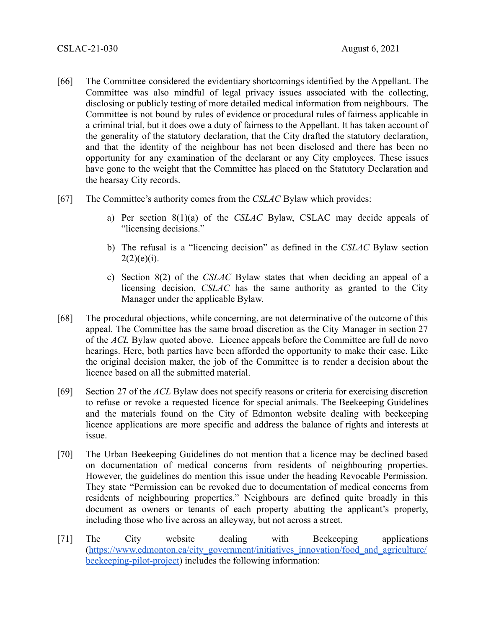- [66] The Committee considered the evidentiary shortcomings identified by the Appellant. The Committee was also mindful of legal privacy issues associated with the collecting, disclosing or publicly testing of more detailed medical information from neighbours. The Committee is not bound by rules of evidence or procedural rules of fairness applicable in a criminal trial, but it does owe a duty of fairness to the Appellant. It has taken account of the generality of the statutory declaration, that the City drafted the statutory declaration, and that the identity of the neighbour has not been disclosed and there has been no opportunity for any examination of the declarant or any City employees. These issues have gone to the weight that the Committee has placed on the Statutory Declaration and the hearsay City records.
- [67] The Committee's authority comes from the *CSLAC* Bylaw which provides:
	- a) Per section 8(1)(a) of the *CSLAC* Bylaw, CSLAC may decide appeals of "licensing decisions."
	- b) The refusal is a "licencing decision" as defined in the *CSLAC* Bylaw section  $2(2)(e)(i)$ .
	- c) Section 8(2) of the *CSLAC* Bylaw states that when deciding an appeal of a licensing decision, *CSLAC* has the same authority as granted to the City Manager under the applicable Bylaw.
- [68] The procedural objections, while concerning, are not determinative of the outcome of this appeal. The Committee has the same broad discretion as the City Manager in section 27 of the *ACL* Bylaw quoted above. Licence appeals before the Committee are full de novo hearings. Here, both parties have been afforded the opportunity to make their case. Like the original decision maker, the job of the Committee is to render a decision about the licence based on all the submitted material.
- [69] Section 27 of the *ACL* Bylaw does not specify reasons or criteria for exercising discretion to refuse or revoke a requested licence for special animals. The Beekeeping Guidelines and the materials found on the City of Edmonton website dealing with beekeeping licence applications are more specific and address the balance of rights and interests at issue.
- [70] The Urban Beekeeping Guidelines do not mention that a licence may be declined based on documentation of medical concerns from residents of neighbouring properties. However, the guidelines do mention this issue under the heading Revocable Permission. They state "Permission can be revoked due to documentation of medical concerns from residents of neighbouring properties." Neighbours are defined quite broadly in this document as owners or tenants of each property abutting the applicant's property, including those who live across an alleyway, but not across a street.
- [71] The City website dealing with Beekeeping applications (https://www.edmonton.ca/city\_government/initiatives\_innovation/food\_and\_agriculture/ beekeeping-pilot-project) includes the following information: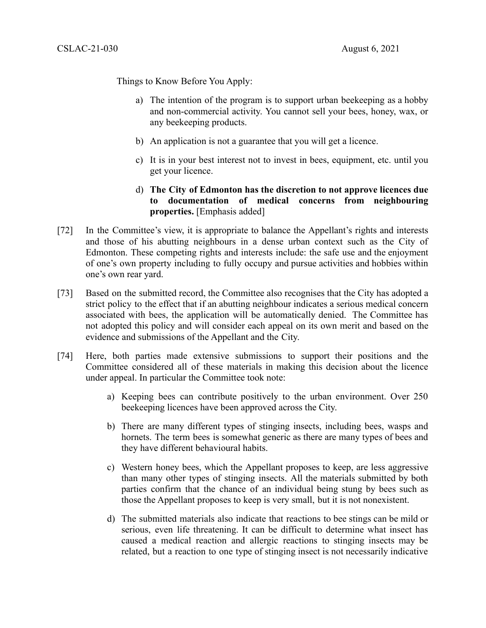Things to Know Before You Apply:

- a) The intention of the program is to support urban beekeeping as a hobby and non-commercial activity. You cannot sell your bees, honey, wax, or any beekeeping products.
- b) An application is not a guarantee that you will get a licence.
- c) It is in your best interest not to invest in bees, equipment, etc. until you get your licence.
- d) **The City of Edmonton has the discretion to not approve licences due to documentation of medical concerns from neighbouring properties.** [Emphasis added]
- [72] In the Committee's view, it is appropriate to balance the Appellant's rights and interests and those of his abutting neighbours in a dense urban context such as the City of Edmonton. These competing rights and interests include: the safe use and the enjoyment of one's own property including to fully occupy and pursue activities and hobbies within one's own rear yard.
- [73] Based on the submitted record, the Committee also recognises that the City has adopted a strict policy to the effect that if an abutting neighbour indicates a serious medical concern associated with bees, the application will be automatically denied. The Committee has not adopted this policy and will consider each appeal on its own merit and based on the evidence and submissions of the Appellant and the City.
- [74] Here, both parties made extensive submissions to support their positions and the Committee considered all of these materials in making this decision about the licence under appeal. In particular the Committee took note:
	- a) Keeping bees can contribute positively to the urban environment. Over 250 beekeeping licences have been approved across the City.
	- b) There are many different types of stinging insects, including bees, wasps and hornets. The term bees is somewhat generic as there are many types of bees and they have different behavioural habits.
	- c) Western honey bees, which the Appellant proposes to keep, are less aggressive than many other types of stinging insects. All the materials submitted by both parties confirm that the chance of an individual being stung by bees such as those the Appellant proposes to keep is very small, but it is not nonexistent.
	- d) The submitted materials also indicate that reactions to bee stings can be mild or serious, even life threatening. It can be difficult to determine what insect has caused a medical reaction and allergic reactions to stinging insects may be related, but a reaction to one type of stinging insect is not necessarily indicative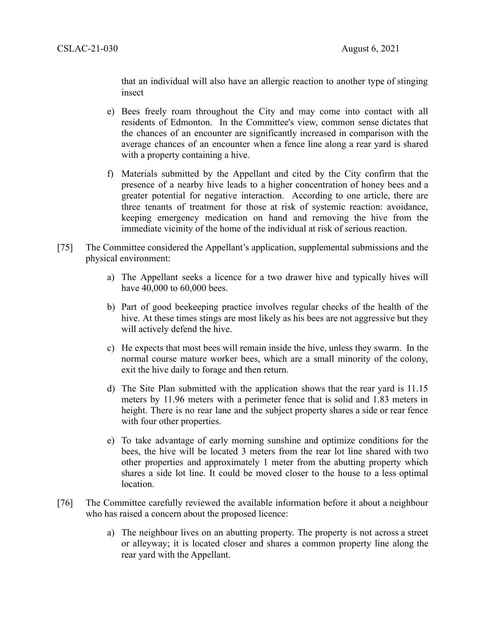that an individual will also have an allergic reaction to another type of stinging insect

- e) Bees freely roam throughout the City and may come into contact with all residents of Edmonton. In the Committee's view, common sense dictates that the chances of an encounter are significantly increased in comparison with the average chances of an encounter when a fence line along a rear yard is shared with a property containing a hive.
- f) Materials submitted by the Appellant and cited by the City confirm that the presence of a nearby hive leads to a higher concentration of honey bees and a greater potential for negative interaction. According to one article, there are three tenants of treatment for those at risk of systemic reaction: avoidance, keeping emergency medication on hand and removing the hive from the immediate vicinity of the home of the individual at risk of serious reaction.
- [75] The Committee considered the Appellant's application, supplemental submissions and the physical environment:
	- a) The Appellant seeks a licence for a two drawer hive and typically hives will have 40,000 to 60,000 bees.
	- b) Part of good beekeeping practice involves regular checks of the health of the hive. At these times stings are most likely as his bees are not aggressive but they will actively defend the hive.
	- c) He expects that most bees will remain inside the hive, unless they swarm. In the normal course mature worker bees, which are a small minority of the colony, exit the hive daily to forage and then return.
	- d) The Site Plan submitted with the application shows that the rear yard is 11.15 meters by 11.96 meters with a perimeter fence that is solid and 1.83 meters in height. There is no rear lane and the subject property shares a side or rear fence with four other properties.
	- e) To take advantage of early morning sunshine and optimize conditions for the bees, the hive will be located 3 meters from the rear lot line shared with two other properties and approximately 1 meter from the abutting property which shares a side lot line. It could be moved closer to the house to a less optimal location.
- [76] The Committee carefully reviewed the available information before it about a neighbour who has raised a concern about the proposed licence:
	- a) The neighbour lives on an abutting property. The property is not across a street or alleyway; it is located closer and shares a common property line along the rear yard with the Appellant.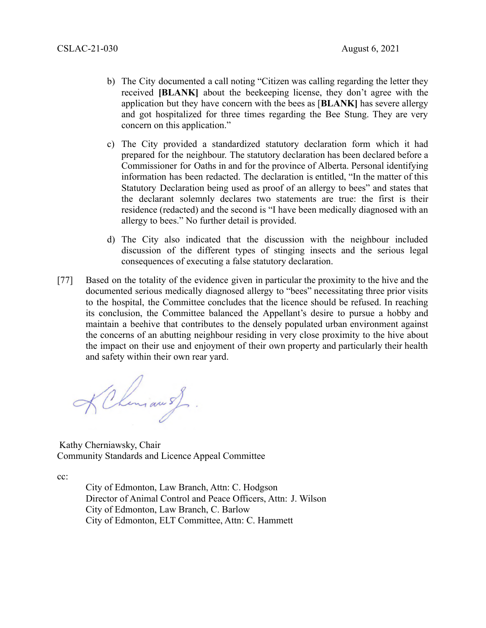- b) The City documented a call noting "Citizen was calling regarding the letter they received **[BLANK]** about the beekeeping license, they don't agree with the application but they have concern with the bees as [**BLANK]** has severe allergy and got hospitalized for three times regarding the Bee Stung. They are very concern on this application."
- c) The City provided a standardized statutory declaration form which it had prepared for the neighbour. The statutory declaration has been declared before a Commissioner for Oaths in and for the province of Alberta. Personal identifying information has been redacted. The declaration is entitled, "In the matter of this Statutory Declaration being used as proof of an allergy to bees" and states that the declarant solemnly declares two statements are true: the first is their residence (redacted) and the second is "I have been medically diagnosed with an allergy to bees." No further detail is provided.
- d) The City also indicated that the discussion with the neighbour included discussion of the different types of stinging insects and the serious legal consequences of executing a false statutory declaration.
- [77] Based on the totality of the evidence given in particular the proximity to the hive and the documented serious medically diagnosed allergy to "bees" necessitating three prior visits to the hospital, the Committee concludes that the licence should be refused. In reaching its conclusion, the Committee balanced the Appellant's desire to pursue a hobby and maintain a beehive that contributes to the densely populated urban environment against the concerns of an abutting neighbour residing in very close proximity to the hive about the impact on their use and enjoyment of their own property and particularly their health and safety within their own rear yard.

KChiman of

Kathy Cherniawsky, Chair Community Standards and Licence Appeal Committee

cc:

City of Edmonton, Law Branch, Attn: C. Hodgson Director of Animal Control and Peace Officers, Attn: J. Wilson City of Edmonton, Law Branch, C. Barlow City of Edmonton, ELT Committee, Attn: C. Hammett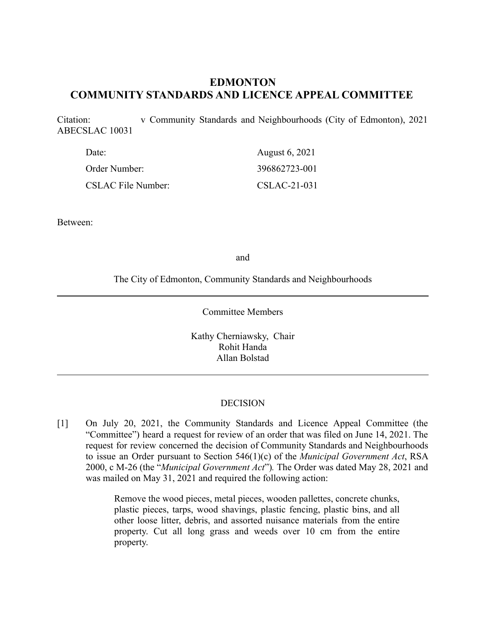# **EDMONTON COMMUNITY STANDARDS AND LICENCE APPEAL COMMITTEE**

Citation: v Community Standards and Neighbourhoods (City of Edmonton), 2021 ABECSLAC 10031

| Date:                     | August 6, 2021 |
|---------------------------|----------------|
| Order Number:             | 396862723-001  |
| <b>CSLAC File Number:</b> | $CSLAC-21-031$ |

Between:

and

The City of Edmonton, Community Standards and Neighbourhoods

Committee Members

Kathy Cherniawsky, Chair Rohit Handa Allan Bolstad

## DECISION

[1] On July 20, 2021, the Community Standards and Licence Appeal Committee (the "Committee") heard a request for review of an order that was filed on June 14, 2021. The request for review concerned the decision of Community Standards and Neighbourhoods to issue an Order pursuant to Section 546(1)(c) of the *Municipal Government Act*, RSA 2000, c M-26 (the "*Municipal Government Act*")*.* The Order was dated May 28, 2021 and was mailed on May 31, 2021 and required the following action:

> Remove the wood pieces, metal pieces, wooden pallettes, concrete chunks, plastic pieces, tarps, wood shavings, plastic fencing, plastic bins, and all other loose litter, debris, and assorted nuisance materials from the entire property. Cut all long grass and weeds over 10 cm from the entire property.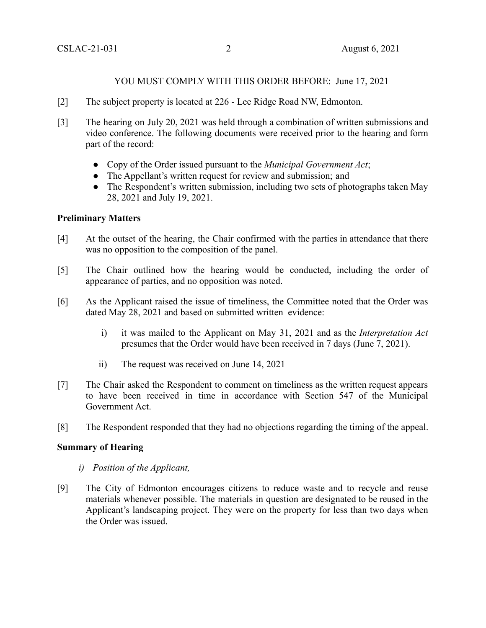# YOU MUST COMPLY WITH THIS ORDER BEFORE: June 17, 2021

- [2] The subject property is located at 226 Lee Ridge Road NW, Edmonton.
- [3] The hearing on July 20, 2021 was held through a combination of written submissions and video conference. The following documents were received prior to the hearing and form part of the record:
	- Copy of the Order issued pursuant to the *Municipal Government Act*;
	- The Appellant's written request for review and submission; and
	- The Respondent's written submission, including two sets of photographs taken May 28, 2021 and July 19, 2021.

# **Preliminary Matters**

- [4] At the outset of the hearing, the Chair confirmed with the parties in attendance that there was no opposition to the composition of the panel.
- [5] The Chair outlined how the hearing would be conducted, including the order of appearance of parties, and no opposition was noted.
- [6] As the Applicant raised the issue of timeliness, the Committee noted that the Order was dated May 28, 2021 and based on submitted written evidence:
	- i) it was mailed to the Applicant on May 31, 2021 and as the *Interpretation Act* presumes that the Order would have been received in 7 days (June 7, 2021).
	- ii) The request was received on June 14, 2021
- [7] The Chair asked the Respondent to comment on timeliness as the written request appears to have been received in time in accordance with Section 547 of the Municipal Government Act.
- [8] The Respondent responded that they had no objections regarding the timing of the appeal.

# **Summary of Hearing**

- *i) Position of the Applicant,*
- [9] The City of Edmonton encourages citizens to reduce waste and to recycle and reuse materials whenever possible. The materials in question are designated to be reused in the Applicant's landscaping project. They were on the property for less than two days when the Order was issued.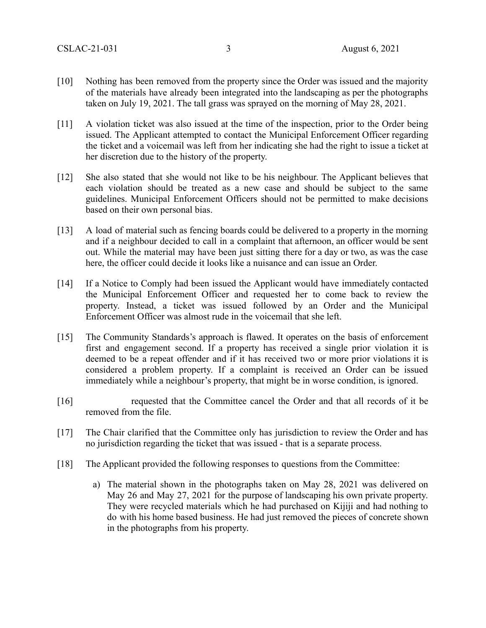- [10] Nothing has been removed from the property since the Order was issued and the majority of the materials have already been integrated into the landscaping as per the photographs taken on July 19, 2021. The tall grass was sprayed on the morning of May 28, 2021.
- [11] A violation ticket was also issued at the time of the inspection, prior to the Order being issued. The Applicant attempted to contact the Municipal Enforcement Officer regarding the ticket and a voicemail was left from her indicating she had the right to issue a ticket at her discretion due to the history of the property.
- [12] She also stated that she would not like to be his neighbour. The Applicant believes that each violation should be treated as a new case and should be subject to the same guidelines. Municipal Enforcement Officers should not be permitted to make decisions based on their own personal bias.
- [13] A load of material such as fencing boards could be delivered to a property in the morning and if a neighbour decided to call in a complaint that afternoon, an officer would be sent out. While the material may have been just sitting there for a day or two, as was the case here, the officer could decide it looks like a nuisance and can issue an Order.
- [14] If a Notice to Comply had been issued the Applicant would have immediately contacted the Municipal Enforcement Officer and requested her to come back to review the property. Instead, a ticket was issued followed by an Order and the Municipal Enforcement Officer was almost rude in the voicemail that she left.
- [15] The Community Standards's approach is flawed. It operates on the basis of enforcement first and engagement second. If a property has received a single prior violation it is deemed to be a repeat offender and if it has received two or more prior violations it is considered a problem property. If a complaint is received an Order can be issued immediately while a neighbour's property, that might be in worse condition, is ignored.
- [16] requested that the Committee cancel the Order and that all records of it be removed from the file.
- [17] The Chair clarified that the Committee only has jurisdiction to review the Order and has no jurisdiction regarding the ticket that was issued - that is a separate process.
- [18] The Applicant provided the following responses to questions from the Committee:
	- a) The material shown in the photographs taken on May 28, 2021 was delivered on May 26 and May 27, 2021 for the purpose of landscaping his own private property. They were recycled materials which he had purchased on Kijiji and had nothing to do with his home based business. He had just removed the pieces of concrete shown in the photographs from his property.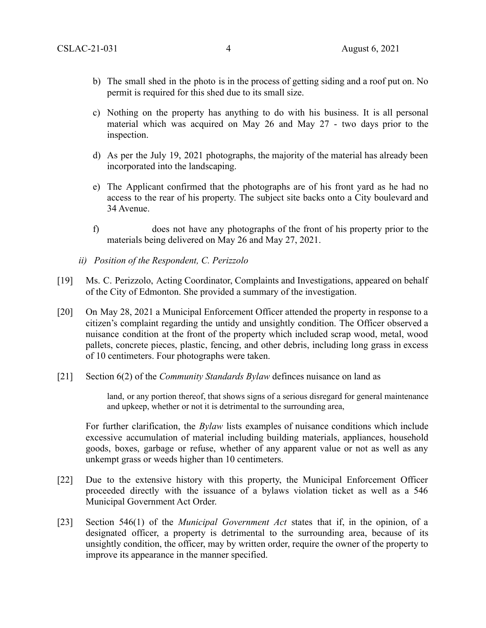- b) The small shed in the photo is in the process of getting siding and a roof put on. No permit is required for this shed due to its small size.
- c) Nothing on the property has anything to do with his business. It is all personal material which was acquired on May 26 and May 27 - two days prior to the inspection.
- d) As per the July 19, 2021 photographs, the majority of the material has already been incorporated into the landscaping.
- e) The Applicant confirmed that the photographs are of his front yard as he had no access to the rear of his property. The subject site backs onto a City boulevard and 34 Avenue.
- f) does not have any photographs of the front of his property prior to the materials being delivered on May 26 and May 27, 2021.
- *ii) Position of the Respondent, C. Perizzolo*
- [19] Ms. C. Perizzolo, Acting Coordinator, Complaints and Investigations, appeared on behalf of the City of Edmonton. She provided a summary of the investigation.
- [20] On May 28, 2021 a Municipal Enforcement Officer attended the property in response to a citizen's complaint regarding the untidy and unsightly condition. The Officer observed a nuisance condition at the front of the property which included scrap wood, metal, wood pallets, concrete pieces, plastic, fencing, and other debris, including long grass in excess of 10 centimeters. Four photographs were taken.
- [21] Section 6(2) of the *Community Standards Bylaw* definces nuisance on land as

land, or any portion thereof, that shows signs of a serious disregard for general maintenance and upkeep, whether or not it is detrimental to the surrounding area,

For further clarification, the *Bylaw* lists examples of nuisance conditions which include excessive accumulation of material including building materials, appliances, household goods, boxes, garbage or refuse, whether of any apparent value or not as well as any unkempt grass or weeds higher than 10 centimeters.

- [22] Due to the extensive history with this property, the Municipal Enforcement Officer proceeded directly with the issuance of a bylaws violation ticket as well as a 546 Municipal Government Act Order.
- [23] Section 546(1) of the *Municipal Government Act* states that if, in the opinion, of a designated officer, a property is detrimental to the surrounding area, because of its unsightly condition, the officer, may by written order, require the owner of the property to improve its appearance in the manner specified.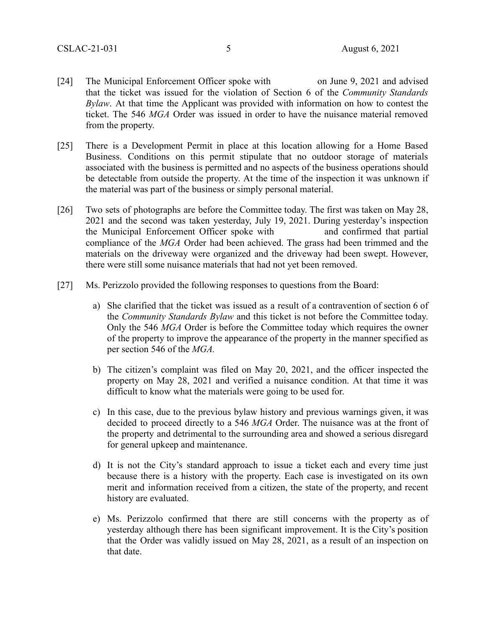- [24] The Municipal Enforcement Officer spoke with on June 9, 2021 and advised that the ticket was issued for the violation of Section 6 of the *Community Standards Bylaw*. At that time the Applicant was provided with information on how to contest the ticket. The 546 *MGA* Order was issued in order to have the nuisance material removed from the property.
- [25] There is a Development Permit in place at this location allowing for a Home Based Business. Conditions on this permit stipulate that no outdoor storage of materials associated with the business is permitted and no aspects of the business operations should be detectable from outside the property. At the time of the inspection it was unknown if the material was part of the business or simply personal material.
- [26] Two sets of photographs are before the Committee today. The first was taken on May 28, 2021 and the second was taken yesterday, July 19, 2021. During yesterday's inspection the Municipal Enforcement Officer spoke with and confirmed that partial compliance of the *MGA* Order had been achieved. The grass had been trimmed and the materials on the driveway were organized and the driveway had been swept. However, there were still some nuisance materials that had not yet been removed.
- [27] Ms. Perizzolo provided the following responses to questions from the Board:
	- a) She clarified that the ticket was issued as a result of a contravention of section 6 of the *Community Standards Bylaw* and this ticket is not before the Committee today. Only the 546 *MGA* Order is before the Committee today which requires the owner of the property to improve the appearance of the property in the manner specified as per section 546 of the *MGA.*
	- b) The citizen's complaint was filed on May 20, 2021, and the officer inspected the property on May 28, 2021 and verified a nuisance condition. At that time it was difficult to know what the materials were going to be used for.
	- c) In this case, due to the previous bylaw history and previous warnings given, it was decided to proceed directly to a 546 *MGA* Order. The nuisance was at the front of the property and detrimental to the surrounding area and showed a serious disregard for general upkeep and maintenance.
	- d) It is not the City's standard approach to issue a ticket each and every time just because there is a history with the property. Each case is investigated on its own merit and information received from a citizen, the state of the property, and recent history are evaluated.
	- e) Ms. Perizzolo confirmed that there are still concerns with the property as of yesterday although there has been significant improvement. It is the City's position that the Order was validly issued on May 28, 2021, as a result of an inspection on that date.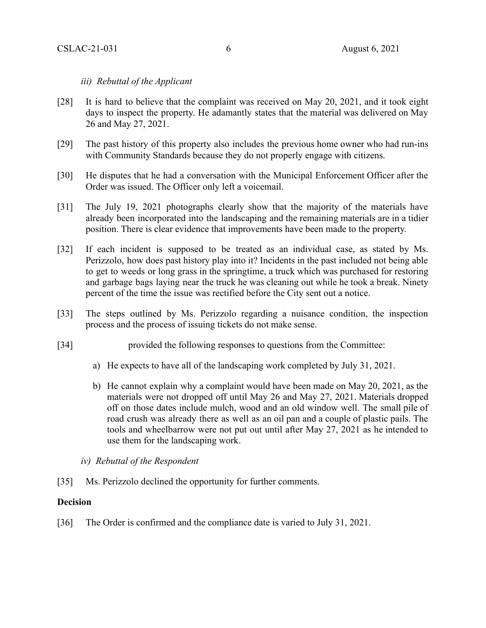# *iii) Rebuttal of the Applicant*

- [28] It is hard to believe that the complaint was received on May 20, 2021, and it took eight days to inspect the property. He adamantly states that the material was delivered on May 26 and May 27, 2021.
- [29] The past history of this property also includes the previous home owner who had run-ins with Community Standards because they do not properly engage with citizens.
- [30] He disputes that he had a conversation with the Municipal Enforcement Officer after the Order was issued. The Officer only left a voicemail.
- [31] The July 19, 2021 photographs clearly show that the majority of the materials have already been incorporated into the landscaping and the remaining materials are in a tidier position. There is clear evidence that improvements have been made to the property.
- [32] If each incident is supposed to be treated as an individual case, as stated by Ms. Perizzolo, how does past history play into it? Incidents in the past included not being able to get to weeds or long grass in the springtime, a truck which was purchased for restoring and garbage bags laying near the truck he was cleaning out while he took a break. Ninety percent of the time the issue was rectified before the City sent out a notice.
- [33] The steps outlined by Ms. Perizzolo regarding a nuisance condition, the inspection process and the process of issuing tickets do not make sense.
- [34] provided the following responses to questions from the Committee:
	- a) He expects to have all of the landscaping work completed by July 31, 2021.
	- b) He cannot explain why a complaint would have been made on May 20, 2021, as the materials were not dropped off until May 26 and May 27, 2021. Materials dropped off on those dates include mulch, wood and an old window well. The small pile of road crush was already there as well as an oil pan and a couple of plastic pails. The tools and wheelbarrow were not put out until after May 27, 2021 as he intended to use them for the landscaping work.
	- *iv) Rebuttal of the Respondent*
- [35] Ms. Perizzolo declined the opportunity for further comments.

# **Decision**

[36] The Order is confirmed and the compliance date is varied to July 31, 2021.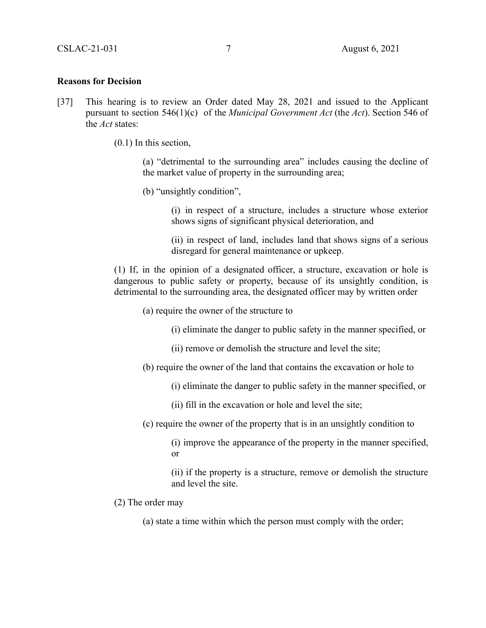#### **Reasons for Decision**

- [37] This hearing is to review an Order dated May 28, 2021 and issued to the Applicant pursuant to section 546(1)(c) of the *Municipal Government Act* (the *Act*). Section 546 of the *Act* states:
	- (0.1) In this section,

(a) "detrimental to the surrounding area" includes causing the decline of the market value of property in the surrounding area;

(b) "unsightly condition",

(i) in respect of a structure, includes a structure whose exterior shows signs of significant physical deterioration, and

(ii) in respect of land, includes land that shows signs of a serious disregard for general maintenance or upkeep.

(1) If, in the opinion of a designated officer, a structure, excavation or hole is dangerous to public safety or property, because of its unsightly condition, is detrimental to the surrounding area, the designated officer may by written order

(a) require the owner of the structure to

(i) eliminate the danger to public safety in the manner specified, or

- (ii) remove or demolish the structure and level the site;
- (b) require the owner of the land that contains the excavation or hole to
	- (i) eliminate the danger to public safety in the manner specified, or
	- (ii) fill in the excavation or hole and level the site;
- (c) require the owner of the property that is in an unsightly condition to

(i) improve the appearance of the property in the manner specified, or

(ii) if the property is a structure, remove or demolish the structure and level the site.

- (2) The order may
	- (a) state a time within which the person must comply with the order;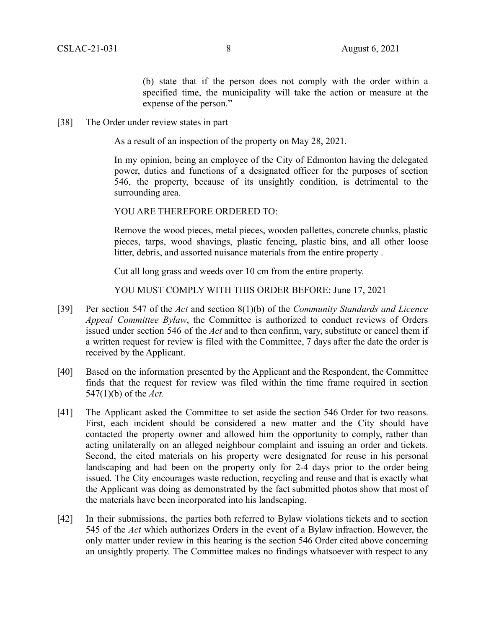(b) state that if the person does not comply with the order within a specified time, the municipality will take the action or measure at the expense of the person."

[38] The Order under review states in part

As a result of an inspection of the property on May 28, 2021.

In my opinion, being an employee of the City of Edmonton having the delegated power, duties and functions of a designated officer for the purposes of section 546, the property, because of its unsightly condition, is detrimental to the surrounding area.

YOU ARE THEREFORE ORDERED TO:

Remove the wood pieces, metal pieces, wooden pallettes, concrete chunks, plastic pieces, tarps, wood shavings, plastic fencing, plastic bins, and all other loose litter, debris, and assorted nuisance materials from the entire property .

Cut all long grass and weeds over 10 cm from the entire property.

YOU MUST COMPLY WITH THIS ORDER BEFORE: June 17, 2021

- [39] Per section 547 of the *Act* and section 8(1)(b) of the *Community Standards and Licence Appeal Committee Bylaw*, the Committee is authorized to conduct reviews of Orders issued under section 546 of the *Act* and to then confirm, vary, substitute or cancel them if a written request for review is filed with the Committee, 7 days after the date the order is received by the Applicant.
- [40] Based on the information presented by the Applicant and the Respondent, the Committee finds that the request for review was filed within the time frame required in section 547(1)(b) of the *Act.*
- [41] The Applicant asked the Committee to set aside the section 546 Order for two reasons. First, each incident should be considered a new matter and the City should have contacted the property owner and allowed him the opportunity to comply, rather than acting unilaterally on an alleged neighbour complaint and issuing an order and tickets. Second, the cited materials on his property were designated for reuse in his personal landscaping and had been on the property only for 2-4 days prior to the order being issued. The City encourages waste reduction, recycling and reuse and that is exactly what the Applicant was doing as demonstrated by the fact submitted photos show that most of the materials have been incorporated into his landscaping.
- [42] In their submissions, the parties both referred to Bylaw violations tickets and to section 545 of the *Act* which authorizes Orders in the event of a Bylaw infraction. However, the only matter under review in this hearing is the section 546 Order cited above concerning an unsightly property. The Committee makes no findings whatsoever with respect to any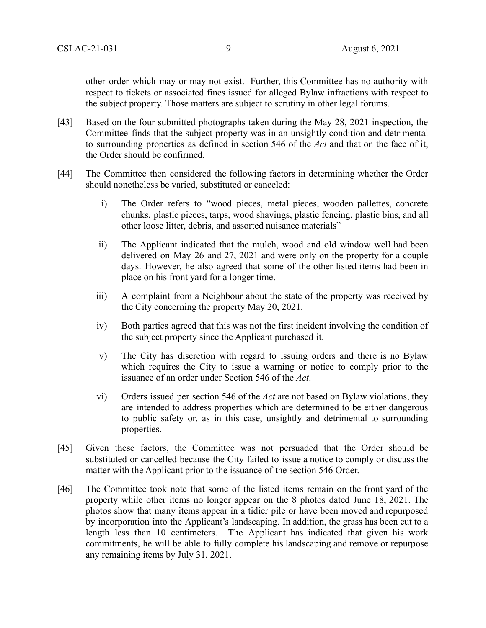other order which may or may not exist. Further, this Committee has no authority with respect to tickets or associated fines issued for alleged Bylaw infractions with respect to the subject property. Those matters are subject to scrutiny in other legal forums.

- [43] Based on the four submitted photographs taken during the May 28, 2021 inspection, the Committee finds that the subject property was in an unsightly condition and detrimental to surrounding properties as defined in section 546 of the *Act* and that on the face of it, the Order should be confirmed.
- [44] The Committee then considered the following factors in determining whether the Order should nonetheless be varied, substituted or canceled:
	- i) The Order refers to "wood pieces, metal pieces, wooden pallettes, concrete chunks, plastic pieces, tarps, wood shavings, plastic fencing, plastic bins, and all other loose litter, debris, and assorted nuisance materials"
	- ii) The Applicant indicated that the mulch, wood and old window well had been delivered on May 26 and 27, 2021 and were only on the property for a couple days. However, he also agreed that some of the other listed items had been in place on his front yard for a longer time.
	- iii) A complaint from a Neighbour about the state of the property was received by the City concerning the property May 20, 2021.
	- iv) Both parties agreed that this was not the first incident involving the condition of the subject property since the Applicant purchased it.
	- v) The City has discretion with regard to issuing orders and there is no Bylaw which requires the City to issue a warning or notice to comply prior to the issuance of an order under Section 546 of the *Act*.
	- vi) Orders issued per section 546 of the *Act* are not based on Bylaw violations, they are intended to address properties which are determined to be either dangerous to public safety or, as in this case, unsightly and detrimental to surrounding properties.
- [45] Given these factors, the Committee was not persuaded that the Order should be substituted or cancelled because the City failed to issue a notice to comply or discuss the matter with the Applicant prior to the issuance of the section 546 Order.
- [46] The Committee took note that some of the listed items remain on the front yard of the property while other items no longer appear on the 8 photos dated June 18, 2021. The photos show that many items appear in a tidier pile or have been moved and repurposed by incorporation into the Applicant's landscaping. In addition, the grass has been cut to a length less than 10 centimeters. The Applicant has indicated that given his work commitments, he will be able to fully complete his landscaping and remove or repurpose any remaining items by July 31, 2021.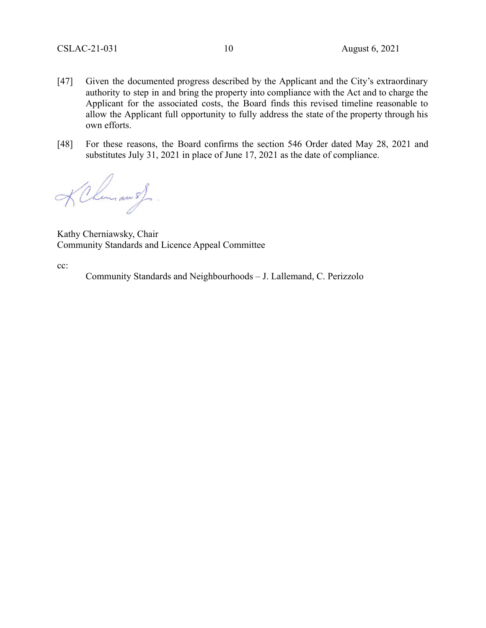- [47] Given the documented progress described by the Applicant and the City's extraordinary authority to step in and bring the property into compliance with the Act and to charge the Applicant for the associated costs, the Board finds this revised timeline reasonable to allow the Applicant full opportunity to fully address the state of the property through his own efforts.
- [48] For these reasons, the Board confirms the section 546 Order dated May 28, 2021 and substitutes July 31, 2021 in place of June 17, 2021 as the date of compliance.

KChemian 5}.

Kathy Cherniawsky, Chair Community Standards and Licence Appeal Committee

cc:

Community Standards and Neighbourhoods – J. Lallemand, C. Perizzolo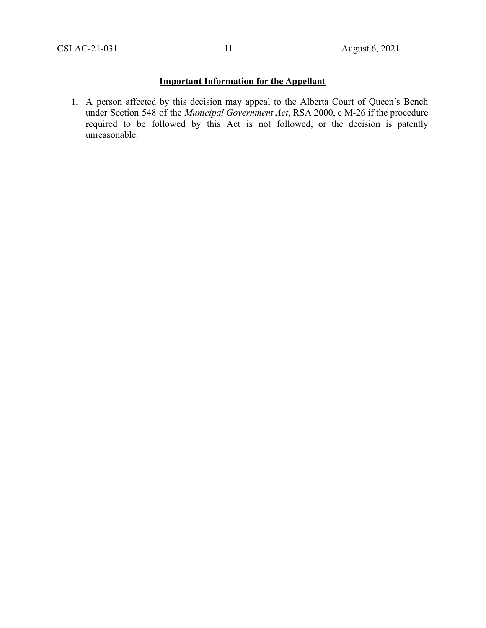# **Important Information for the Appellant**

1. A person affected by this decision may appeal to the Alberta Court of Queen's Bench under Section 548 of the *Municipal Government Act*, RSA 2000, c M-26 if the procedure required to be followed by this Act is not followed, or the decision is patently unreasonable.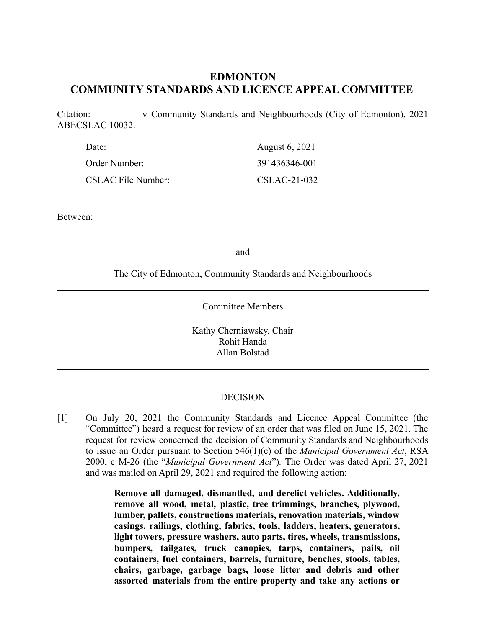# **EDMONTON COMMUNITY STANDARDS AND LICENCE APPEAL COMMITTEE**

Citation: v Community Standards and Neighbourhoods (City of Edmonton), 2021 ABECSLAC 10032.

| Date:                     | August 6, 2021 |
|---------------------------|----------------|
| Order Number:             | 391436346-001  |
| <b>CSLAC File Number:</b> | CSLAC-21-032   |

Between:

and

The City of Edmonton, Community Standards and Neighbourhoods

Committee Members

Kathy Cherniawsky, Chair Rohit Handa Allan Bolstad

#### DECISION

[1] On July 20, 2021 the Community Standards and Licence Appeal Committee (the "Committee") heard a request for review of an order that was filed on June 15, 2021. The request for review concerned the decision of Community Standards and Neighbourhoods to issue an Order pursuant to Section 546(1)(c) of the *Municipal Government Act*, RSA 2000, c M-26 (the "*Municipal Government Act*")*.* The Order was dated April 27, 2021 and was mailed on April 29, 2021 and required the following action:

> **Remove all damaged, dismantled, and derelict vehicles. Additionally, remove all wood, metal, plastic, tree trimmings, branches, plywood, lumber, pallets, constructions materials, renovation materials, window casings, railings, clothing, fabrics, tools, ladders, heaters, generators, light towers, pressure washers, auto parts, tires, wheels, transmissions, bumpers, tailgates, truck canopies, tarps, containers, pails, oil containers, fuel containers, barrels, furniture, benches, stools, tables, chairs, garbage, garbage bags, loose litter and debris and other assorted materials from the entire property and take any actions or**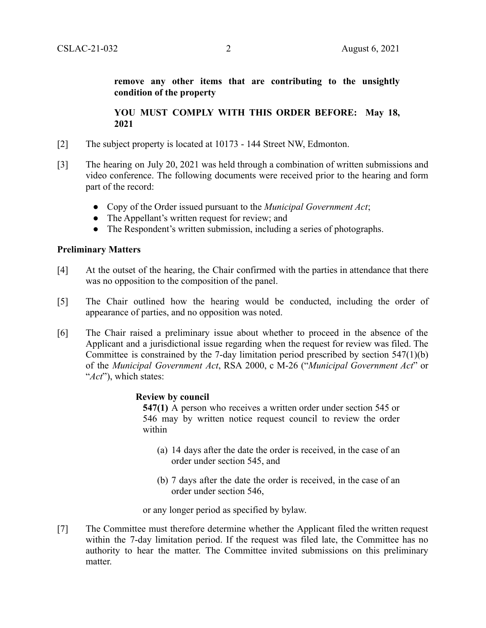**remove any other items that are contributing to the unsightly condition of the property**

**YOU MUST COMPLY WITH THIS ORDER BEFORE: May 18, 2021**

- [2] The subject property is located at 10173 144 Street NW, Edmonton.
- [3] The hearing on July 20, 2021 was held through a combination of written submissions and video conference. The following documents were received prior to the hearing and form part of the record:
	- Copy of the Order issued pursuant to the *Municipal Government Act*;
	- The Appellant's written request for review; and
	- The Respondent's written submission, including a series of photographs.

#### **Preliminary Matters**

- [4] At the outset of the hearing, the Chair confirmed with the parties in attendance that there was no opposition to the composition of the panel.
- [5] The Chair outlined how the hearing would be conducted, including the order of appearance of parties, and no opposition was noted.
- [6] The Chair raised a preliminary issue about whether to proceed in the absence of the Applicant and a jurisdictional issue regarding when the request for review was filed. The Committee is constrained by the 7-day limitation period prescribed by section 547(1)(b) of the *Municipal Government Act*, RSA 2000, c M-26 ("*Municipal Government Act*" or "*Act*"), which states:

#### **Review by council**

**547(1)** A person who receives a written order under section 545 or 546 may by written notice request council to review the order within

- (a) 14 days after the date the order is received, in the case of an order under section 545, and
- (b) 7 days after the date the order is received, in the case of an order under section 546,

or any longer period as specified by bylaw.

[7] The Committee must therefore determine whether the Applicant filed the written request within the 7-day limitation period. If the request was filed late, the Committee has no authority to hear the matter. The Committee invited submissions on this preliminary matter.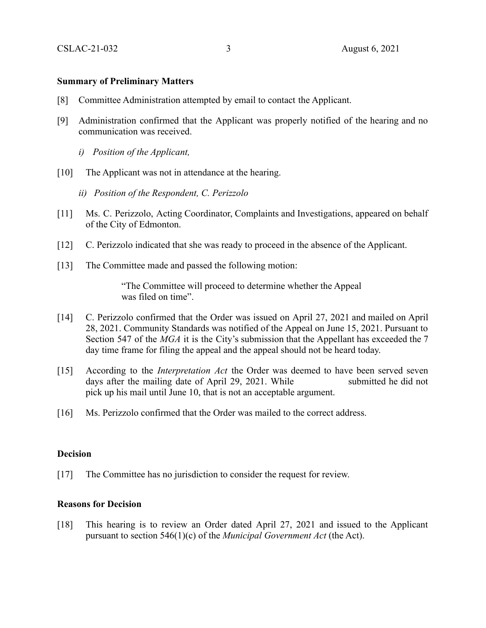#### **Summary of Preliminary Matters**

- [8] Committee Administration attempted by email to contact the Applicant.
- [9] Administration confirmed that the Applicant was properly notified of the hearing and no communication was received.
	- *i) Position of the Applicant,*
- [10] The Applicant was not in attendance at the hearing.
	- *ii) Position of the Respondent, C. Perizzolo*
- [11] Ms. C. Perizzolo, Acting Coordinator, Complaints and Investigations, appeared on behalf of the City of Edmonton.
- [12] C. Perizzolo indicated that she was ready to proceed in the absence of the Applicant.
- [13] The Committee made and passed the following motion:

"The Committee will proceed to determine whether the Appeal was filed on time".

- [14] C. Perizzolo confirmed that the Order was issued on April 27, 2021 and mailed on April 28, 2021. Community Standards was notified of the Appeal on June 15, 2021. Pursuant to Section 547 of the *MGA* it is the City's submission that the Appellant has exceeded the 7 day time frame for filing the appeal and the appeal should not be heard today.
- [15] According to the *Interpretation Act* the Order was deemed to have been served seven days after the mailing date of April 29, 2021. While submitted he did not pick up his mail until June 10, that is not an acceptable argument.
- [16] Ms. Perizzolo confirmed that the Order was mailed to the correct address.

## **Decision**

[17] The Committee has no jurisdiction to consider the request for review.

## **Reasons for Decision**

[18] This hearing is to review an Order dated April 27, 2021 and issued to the Applicant pursuant to section 546(1)(c) of the *Municipal Government Act* (the Act).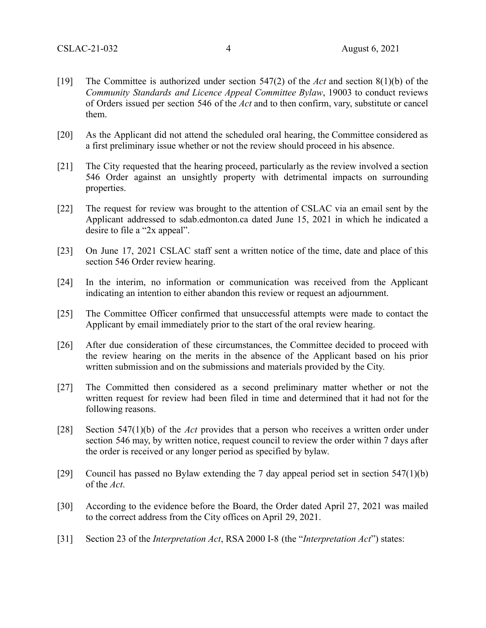- [19] The Committee is authorized under section 547(2) of the *Act* and section 8(1)(b) of the *Community Standards and Licence Appeal Committee Bylaw*, 19003 to conduct reviews of Orders issued per section 546 of the *Act* and to then confirm, vary, substitute or cancel them.
- [20] As the Applicant did not attend the scheduled oral hearing, the Committee considered as a first preliminary issue whether or not the review should proceed in his absence.
- [21] The City requested that the hearing proceed, particularly as the review involved a section 546 Order against an unsightly property with detrimental impacts on surrounding properties.
- [22] The request for review was brought to the attention of CSLAC via an email sent by the Applicant addressed to sdab.edmonton.ca dated June 15, 2021 in which he indicated a desire to file a "2x appeal".
- [23] On June 17, 2021 CSLAC staff sent a written notice of the time, date and place of this section 546 Order review hearing.
- [24] In the interim, no information or communication was received from the Applicant indicating an intention to either abandon this review or request an adjournment.
- [25] The Committee Officer confirmed that unsuccessful attempts were made to contact the Applicant by email immediately prior to the start of the oral review hearing.
- [26] After due consideration of these circumstances, the Committee decided to proceed with the review hearing on the merits in the absence of the Applicant based on his prior written submission and on the submissions and materials provided by the City.
- [27] The Committed then considered as a second preliminary matter whether or not the written request for review had been filed in time and determined that it had not for the following reasons.
- [28] Section 547(1)(b) of the *Act* provides that a person who receives a written order under section 546 may, by written notice, request council to review the order within 7 days after the order is received or any longer period as specified by bylaw.
- [29] Council has passed no Bylaw extending the 7 day appeal period set in section 547(1)(b) of the *Act*.
- [30] According to the evidence before the Board, the Order dated April 27, 2021 was mailed to the correct address from the City offices on April 29, 2021.
- [31] Section 23 of the *Interpretation Act*, RSA 2000 I-8 (the "*Interpretation Act*") states: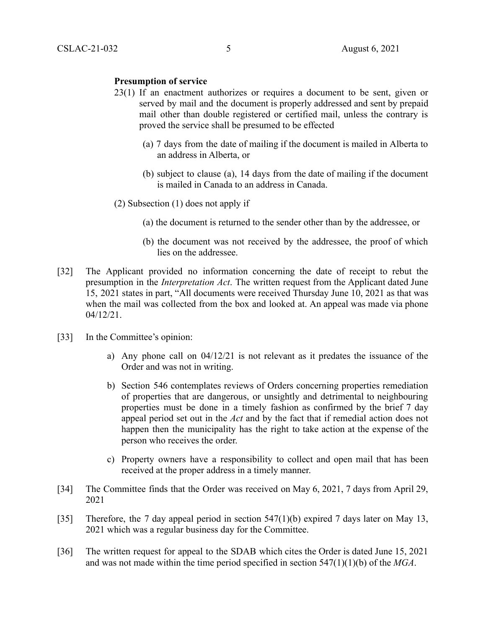#### **Presumption of service**

- 23(1) If an enactment authorizes or requires a document to be sent, given or served by mail and the document is properly addressed and sent by prepaid mail other than double registered or certified mail, unless the contrary is proved the service shall be presumed to be effected
	- (a) 7 days from the date of mailing if the document is mailed in Alberta to an address in Alberta, or
	- (b) subject to clause (a), 14 days from the date of mailing if the document is mailed in Canada to an address in Canada.
- (2) Subsection (1) does not apply if
	- (a) the document is returned to the sender other than by the addressee, or
	- (b) the document was not received by the addressee, the proof of which lies on the addressee.
- [32] The Applicant provided no information concerning the date of receipt to rebut the presumption in the *Interpretation Act*. The written request from the Applicant dated June 15, 2021 states in part, "All documents were received Thursday June 10, 2021 as that was when the mail was collected from the box and looked at. An appeal was made via phone 04/12/21.
- [33] In the Committee's opinion:
	- a) Any phone call on  $04/12/21$  is not relevant as it predates the issuance of the Order and was not in writing.
	- b) Section 546 contemplates reviews of Orders concerning properties remediation of properties that are dangerous, or unsightly and detrimental to neighbouring properties must be done in a timely fashion as confirmed by the brief 7 day appeal period set out in the *Act* and by the fact that if remedial action does not happen then the municipality has the right to take action at the expense of the person who receives the order.
	- c) Property owners have a responsibility to collect and open mail that has been received at the proper address in a timely manner.
- [34] The Committee finds that the Order was received on May 6, 2021, 7 days from April 29, 2021
- [35] Therefore, the 7 day appeal period in section 547(1)(b) expired 7 days later on May 13, 2021 which was a regular business day for the Committee.
- [36] The written request for appeal to the SDAB which cites the Order is dated June 15, 2021 and was not made within the time period specified in section 547(1)(1)(b) of the *MGA*.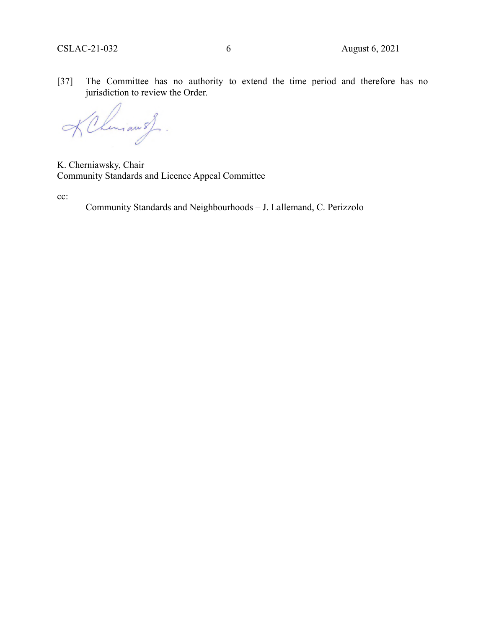[37] The Committee has no authority to extend the time period and therefore has no jurisdiction to review the Order.

KChemiau 5).  $\rightarrow$ 

K. Cherniawsky, Chair Community Standards and Licence Appeal Committee

cc:

Community Standards and Neighbourhoods – J. Lallemand, C. Perizzolo